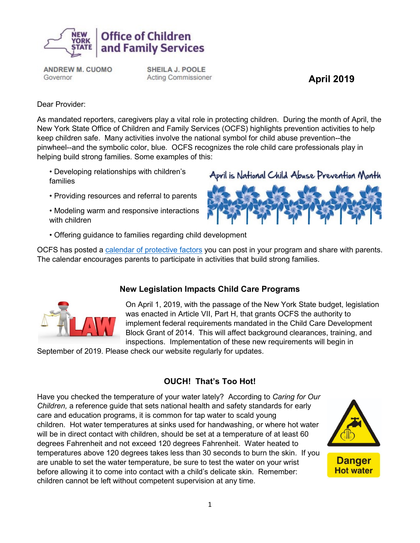

**ANDREW M. CUOMO** Governor

**SHEILA J. POOLE Acting Commissioner** 

**April 2019**

Dear Provider:

As mandated reporters, caregivers play a vital role in protecting children. During the month of April, the New York State Office of Children and Family Services (OCFS) highlights prevention activities to help keep children safe. Many activities involve the national symbol for child abuse prevention--the pinwheel--and the symbolic color, blue. OCFS recognizes the role child care professionals play in helping build strong families. Some examples of this:

- Developing relationships with children's families
- Providing resources and referral to parents
- Modeling warm and responsive interactions with children



• Offering guidance to families regarding child development

OCFS has posted a [calendar of protective factors](https://ocfs.ny.gov/main/prevention/events-calendars/Child-Abuse-Prevention-Calendar-2019-3-27.pdf) you can post in your program and share with parents. The calendar encourages parents to participate in activities that build strong families.



### **New Legislation Impacts Child Care Programs**

On April 1, 2019, with the passage of the New York State budget, legislation was enacted in Article VII, Part H, that grants OCFS the authority to implement federal requirements mandated in the Child Care Development Block Grant of 2014. This will affect background clearances, training, and inspections. Implementation of these new requirements will begin in

September of 2019. Please check our website regularly for updates.

## **OUCH! That's Too Hot!**

Have you checked the temperature of your water lately? According to *Caring for Our Children,* a reference guide that sets national health and safety standards for early care and education programs, it is common for tap water to scald young children. Hot water temperatures at sinks used for handwashing, or where hot water will be in direct contact with children, should be set at a temperature of at least 60 degrees Fahrenheit and not exceed 120 degrees Fahrenheit. Water heated to temperatures above 120 degrees takes less than 30 seconds to burn the skin. If you are unable to set the water temperature, be sure to test the water on your wrist before allowing it to come into contact with a child's delicate skin. Remember: children cannot be left without competent supervision at any time.

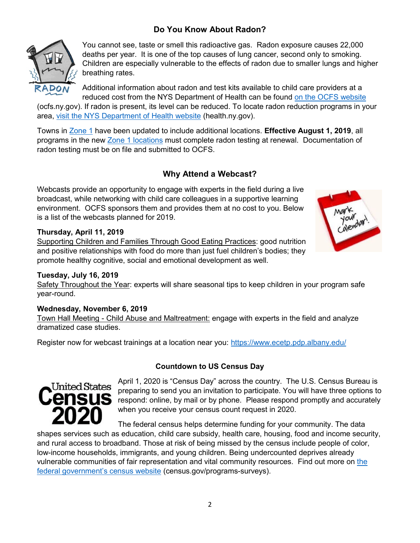## **Do You Know About Radon?**



You cannot see, taste or smell this radioactive gas. Radon exposure causes 22,000 deaths per year. It is one of the top causes of lung cancer, second only to smoking. Children are especially vulnerable to the effects of radon due to smaller lungs and higher breathing rates.

Additional information about radon and test kits available to child care providers at a reduced cost from the NYS Department of Health can be found [on the OCFS website](https://www.google.com/url?q=https://ocfs.ny.gov/main/childcare/radon/&sa=U&ved=0ahUKEwib4ZOA5tfhAhVjUN8KHX28AY4QFggEMAA&client=internal-uds-cse&cx=004801379132499992204:fj96igbipvg&usg=AOvVaw23iJVq6a-C0cNDhpzDgw0l)

(ocfs.ny.gov). If radon is present, its level can be reduced. To locate radon reduction programs in your area, [visit the NYS Department of Health website](https://www.health.ny.gov/environmental/radiological/radon/radon.htm) (health.ny.gov).

Towns in [Zone 1](https://ocfs.ny.gov/main/childcare/radon/radonzone.asp) have been updated to include additional locations. **Effective August 1, 2019**, all programs in the new [Zone 1 locations](https://ocfs.ny.gov/main/childcare/radon/radonzone.asp) must complete radon testing at renewal. Documentation of radon testing must be on file and submitted to OCFS.

### **Why Attend a Webcast?**

Webcasts provide an opportunity to engage with experts in the field during a live broadcast, while networking with child care colleagues in a supportive learning environment. OCFS sponsors them and provides them at no cost to you. Below is a list of the webcasts planned for 2019.

#### **Thursday, April 11, 2019**

Supporting Children and Families Through Good Eating Practices: good nutrition and positive relationships with food do more than just fuel children's bodies; they promote healthy cognitive, social and emotional development as well.



#### **Tuesday, July 16, 2019**

Safety Throughout the Year: experts will share seasonal tips to keep children in your program safe year-round.

#### **Wednesday, November 6, 2019**

Town Hall Meeting - Child Abuse and Maltreatment: engage with experts in the field and analyze dramatized case studies.

Register now for webcast trainings at a location near you: <https://www.ecetp.pdp.albany.edu/>

#### **Countdown to US Census Day**



April 1, 2020 is "Census Day" across the country. The U.S. Census Bureau is preparing to send you an invitation to participate. You will have three options to respond: online, by mail or by phone. Please respond promptly and accurately when you receive your census count request in 2020.

The federal census helps determine funding for your community. The data shapes services such as education, child care subsidy, health care, housing, food and income security, and rural access to broadband. Those at risk of being missed by the census include people of color, low-income households, immigrants, and young children. Being undercounted deprives already vulnerable communities of fair representation and vital community resources. Find out more on [the](https://www.census.gov/programs-surveys/decennial-census/2020-census.html)  [federal government's census website](https://www.census.gov/programs-surveys/decennial-census/2020-census.html) (census.gov/programs-surveys).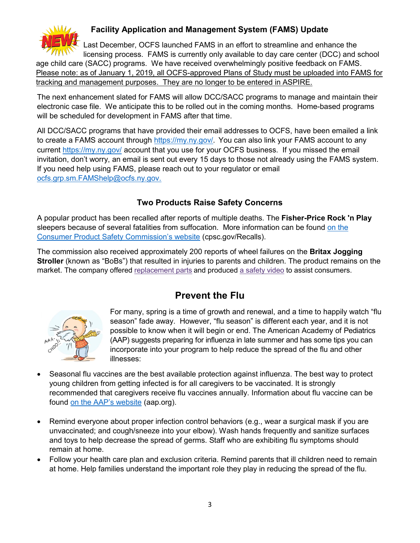

## **Facility Application and Management System (FAMS) Update**

 Last December, OCFS launched FAMS in an effort to streamline and enhance the licensing process. FAMS is currently only available to day care center (DCC) and school

age child care (SACC) programs. We have received overwhelmingly positive feedback on FAMS. Please note: as of January 1, 2019, all OCFS-approved Plans of Study must be uploaded into FAMS for tracking and management purposes. They are no longer to be entered in ASPIRE.

The next enhancement slated for FAMS will allow DCC/SACC programs to manage and maintain their electronic case file. We anticipate this to be rolled out in the coming months. Home-based programs will be scheduled for development in FAMS after that time.

All DCC/SACC programs that have provided their email addresses to OCFS, have been emailed a link to create a FAMS account through<https://my.ny.gov/>. You can also link your FAMS account to any current<https://my.ny.gov/> account that you use for your OCFS business. If you missed the email invitation, don't worry, an email is sent out every 15 days to those not already using the FAMS system. If you need help using FAMS, please reach out to your regulator or email [ocfs.grp.sm.FAMShelp@ocfs.ny.gov.](mailto:ocfs.grp.sm.FAMShelp@ocfs.ny.gov)

## **Two Products Raise Safety Concerns**

A popular product has been recalled after reports of multiple deaths. The **Fisher-Price Rock 'n Play** sleepers because of several fatalities from suffocation. More information can be found [on the](https://www.cpsc.gov/Recalls/2019/fisher-price-recalls-rock-n-play-sleepers-due-to-reports-of-deaths)  [Consumer Product Safety Commission's website](https://www.cpsc.gov/Recalls/2019/fisher-price-recalls-rock-n-play-sleepers-due-to-reports-of-deaths) (cpsc.gov/Recalls).

The commission also received approximately 200 reports of wheel failures on the **Britax Jogging Stroller** (known as "BoBs") that resulted in injuries to parents and children. The product remains on the market. The company offered [replacement](https://www.consumerreports.org/jogging-strollers/britax-jogging-stroller-settlement/) parts and produced a [safety](https://bobinfocampaign.britax.com/) video to assist consumers.



# **Prevent the Flu**

For many, spring is a time of growth and renewal, and a time to happily watch "flu season" fade away. However, "flu season" is different each year, and it is not possible to know when it will begin or end. The American Academy of Pediatrics (AAP) suggests preparing for influenza in late summer and has some tips you can incorporate into your program to help reduce the spread of the flu and other illnesses:

- Seasonal flu vaccines are the best available protection against influenza. The best way to protect young children from getting infected is for all caregivers to be vaccinated. It is strongly recommended that caregivers receive flu vaccines annually. Information about flu vaccine can be found [on the AAP's website](https://www.aap.org/en-us/Documents/disasters_dpac_InfluenzaHandout.pdf) (aap.org).
- Remind everyone about proper infection control behaviors (e.g., wear a surgical mask if you are unvaccinated; and cough/sneeze into your elbow). Wash hands frequently and sanitize surfaces and toys to help decrease the spread of germs. Staff who are exhibiting flu symptoms should remain at home.
- Follow your health care plan and exclusion criteria. Remind parents that ill children need to remain at home. Help families understand the important role they play in reducing the spread of the flu.